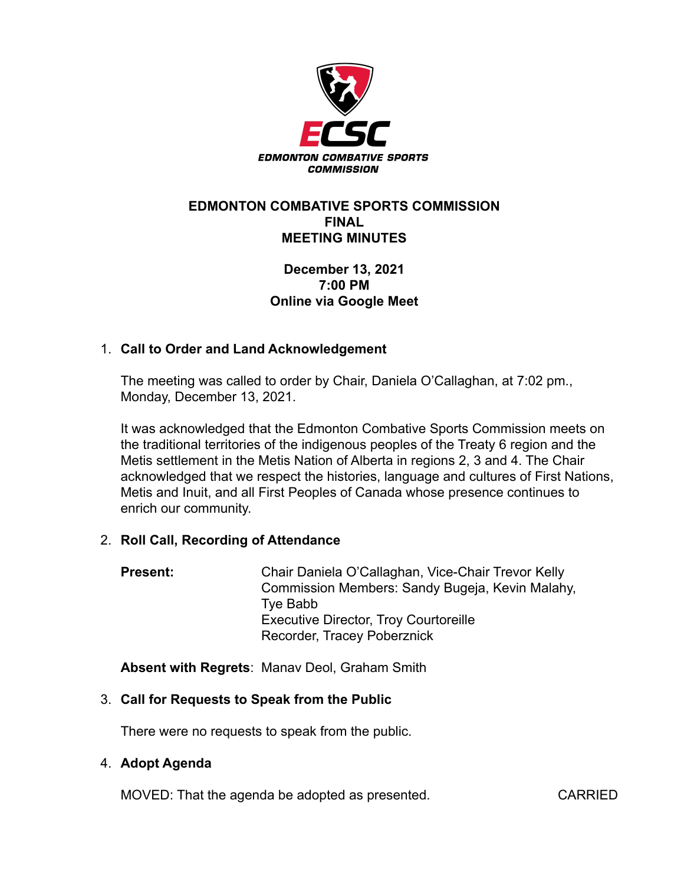

### **EDMONTON COMBATIVE SPORTS COMMISSION FINAL MEETING MINUTES**

## **December 13, 2021 7:00 PM Online via Google Meet**

# 1. **Call to Order and Land Acknowledgement**

The meeting was called to order by Chair, Daniela O'Callaghan, at 7:02 pm., Monday, December 13, 2021.

It was acknowledged that the Edmonton Combative Sports Commission meets on the traditional territories of the indigenous peoples of the Treaty 6 region and the Metis settlement in the Metis Nation of Alberta in regions 2, 3 and 4. The Chair acknowledged that we respect the histories, language and cultures of First Nations, Metis and Inuit, and all First Peoples of Canada whose presence continues to enrich our community.

#### 2. **Roll Call, Recording of Attendance**

**Present:** Chair Daniela O'Callaghan, Vice-Chair Trevor Kelly Commission Members: Sandy Bugeja, Kevin Malahy, Tye Babb Executive Director, Troy Courtoreille Recorder, Tracey Poberznick

**Absent with Regrets**: Manav Deol, Graham Smith

# 3. **Call for Requests to Speak from the Public**

There were no requests to speak from the public.

#### 4. **Adopt Agenda**

MOVED: That the agenda be adopted as presented. CARRIED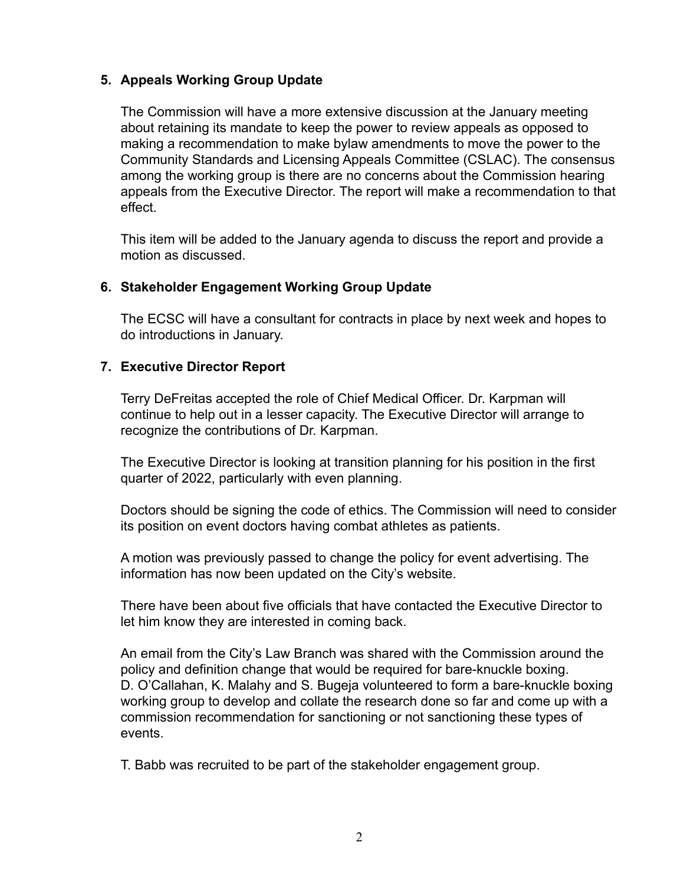## **5. Appeals Working Group Update**

The Commission will have a more extensive discussion at the January meeting about retaining its mandate to keep the power to review appeals as opposed to making a recommendation to make bylaw amendments to move the power to the Community Standards and Licensing Appeals Committee (CSLAC). The consensus among the working group is there are no concerns about the Commission hearing appeals from the Executive Director. The report will make a recommendation to that effect.

This item will be added to the January agenda to discuss the report and provide a motion as discussed.

#### **6. Stakeholder Engagement Working Group Update**

The ECSC will have a consultant for contracts in place by next week and hopes to do introductions in January.

## **7. Executive Director Report**

Terry DeFreitas accepted the role of Chief Medical Officer. Dr. Karpman will continue to help out in a lesser capacity. The Executive Director will arrange to recognize the contributions of Dr. Karpman.

The Executive Director is looking at transition planning for his position in the first quarter of 2022, particularly with even planning.

Doctors should be signing the code of ethics. The Commission will need to consider its position on event doctors having combat athletes as patients.

A motion was previously passed to change the policy for event advertising. The information has now been updated on the City's website.

There have been about five officials that have contacted the Executive Director to let him know they are interested in coming back.

An email from the City's Law Branch was shared with the Commission around the policy and definition change that would be required for bare-knuckle boxing. D. O'Callahan, K. Malahy and S. Bugeja volunteered to form a bare-knuckle boxing working group to develop and collate the research done so far and come up with a commission recommendation for sanctioning or not sanctioning these types of events.

T. Babb was recruited to be part of the stakeholder engagement group.